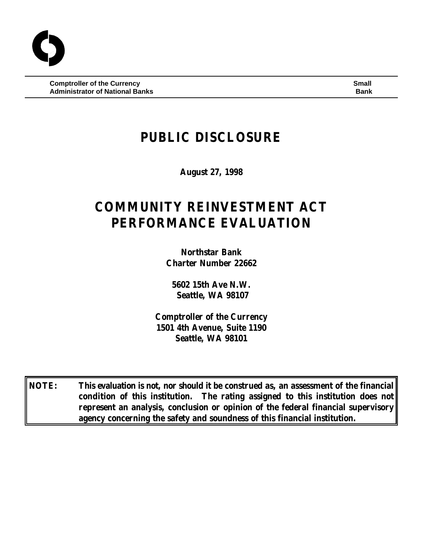**Comptroller of the Currency Small Administrator of National Banks Bank**

# **PUBLIC DISCLOSURE**

**August 27, 1998**

# **COMMUNITY REINVESTMENT ACT PERFORMANCE EVALUATION**

**Northstar Bank Charter Number 22662**

**5602 15th Ave N.W. Seattle, WA 98107**

**Comptroller of the Currency 1501 4th Avenue, Suite 1190 Seattle, WA 98101**

**NOTE: This evaluation is not, nor should it be construed as, an assessment of the financial condition of this institution. The rating assigned to this institution does not represent an analysis, conclusion or opinion of the federal financial supervisory agency concerning the safety and soundness of this financial institution.**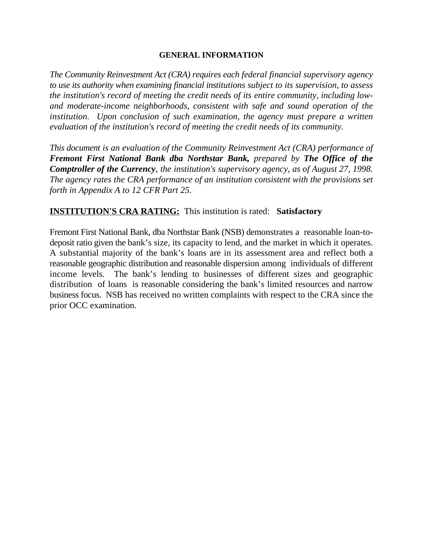#### **GENERAL INFORMATION**

*The Community Reinvestment Act (CRA) requires each federal financial supervisory agency to use its authority when examining financial institutions subject to its supervision, to assess the institution's record of meeting the credit needs of its entire community, including lowand moderate-income neighborhoods, consistent with safe and sound operation of the institution. Upon conclusion of such examination, the agency must prepare a written evaluation of the institution's record of meeting the credit needs of its community.* 

*This document is an evaluation of the Community Reinvestment Act (CRA) performance of Fremont First National Bank dba Northstar Bank, prepared by The Office of the Comptroller of the Currency, the institution's supervisory agency, as of August 27, 1998. The agency rates the CRA performance of an institution consistent with the provisions set forth in Appendix A to 12 CFR Part 25.*

# **INSTITUTION'S CRA RATING:** This institution is rated: **Satisfactory**

Fremont First National Bank, dba Northstar Bank (NSB) demonstrates a reasonable loan-todeposit ratio given the bank's size, its capacity to lend, and the market in which it operates. A substantial majority of the bank's loans are in its assessment area and reflect both a reasonable geographic distribution and reasonable dispersion among individuals of different income levels. The bank's lending to businesses of different sizes and geographic distribution of loans is reasonable considering the bank's limited resources and narrow business focus. NSB has received no written complaints with respect to the CRA since the prior OCC examination.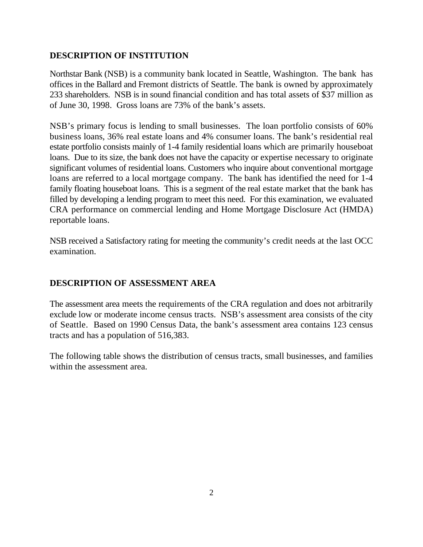## **DESCRIPTION OF INSTITUTION**

Northstar Bank (NSB) is a community bank located in Seattle, Washington. The bank has offices in the Ballard and Fremont districts of Seattle. The bank is owned by approximately 233 shareholders. NSB is in sound financial condition and has total assets of \$37 million as of June 30, 1998. Gross loans are 73% of the bank's assets.

NSB's primary focus is lending to small businesses. The loan portfolio consists of 60% business loans, 36% real estate loans and 4% consumer loans. The bank's residential real estate portfolio consists mainly of 1-4 family residential loans which are primarily houseboat loans. Due to its size, the bank does not have the capacity or expertise necessary to originate significant volumes of residential loans. Customers who inquire about conventional mortgage loans are referred to a local mortgage company. The bank has identified the need for 1-4 family floating houseboat loans. This is a segment of the real estate market that the bank has filled by developing a lending program to meet this need. For this examination, we evaluated CRA performance on commercial lending and Home Mortgage Disclosure Act (HMDA) reportable loans.

NSB received a Satisfactory rating for meeting the community's credit needs at the last OCC examination.

# **DESCRIPTION OF ASSESSMENT AREA**

The assessment area meets the requirements of the CRA regulation and does not arbitrarily exclude low or moderate income census tracts. NSB's assessment area consists of the city of Seattle. Based on 1990 Census Data, the bank's assessment area contains 123 census tracts and has a population of 516,383.

The following table shows the distribution of census tracts, small businesses, and families within the assessment area.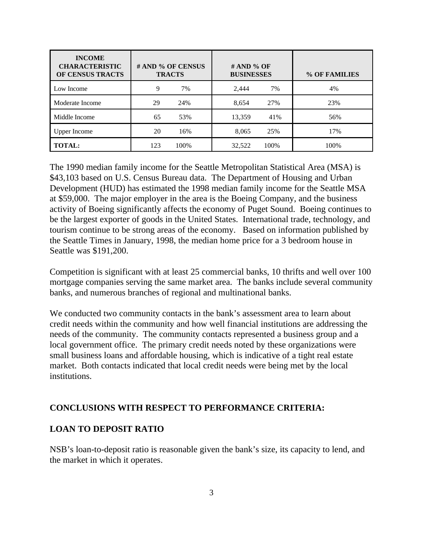| <b>INCOME</b><br><b>CHARACTERISTIC</b><br>OF CENSUS TRACTS | # AND % OF CENSUS<br><b>TRACTS</b> | $# AND \% OF$<br><b>BUSINESSES</b> | % OF FAMILIES |
|------------------------------------------------------------|------------------------------------|------------------------------------|---------------|
| Low Income                                                 | 9<br>7%                            | 2,444<br>7%                        | 4%            |
| Moderate Income                                            | 29<br>24%                          | 8,654<br>27%                       | 23%           |
| Middle Income                                              | 53%<br>65                          | 13,359<br>41%                      | 56%           |
| <b>Upper Income</b>                                        | 20<br>16%                          | 8,065<br>25%                       | 17%           |
| <b>TOTAL:</b>                                              | 100%<br>123                        | 32,522<br>100%                     | 100%          |

The 1990 median family income for the Seattle Metropolitan Statistical Area (MSA) is \$43,103 based on U.S. Census Bureau data. The Department of Housing and Urban Development (HUD) has estimated the 1998 median family income for the Seattle MSA at \$59,000. The major employer in the area is the Boeing Company, and the business activity of Boeing significantly affects the economy of Puget Sound. Boeing continues to be the largest exporter of goods in the United States. International trade, technology, and tourism continue to be strong areas of the economy. Based on information published by the Seattle Times in January, 1998, the median home price for a 3 bedroom house in Seattle was \$191,200.

Competition is significant with at least 25 commercial banks, 10 thrifts and well over 100 mortgage companies serving the same market area. The banks include several community banks, and numerous branches of regional and multinational banks.

We conducted two community contacts in the bank's assessment area to learn about credit needs within the community and how well financial institutions are addressing the needs of the community. The community contacts represented a business group and a local government office. The primary credit needs noted by these organizations were small business loans and affordable housing, which is indicative of a tight real estate market. Both contacts indicated that local credit needs were being met by the local institutions.

### **CONCLUSIONS WITH RESPECT TO PERFORMANCE CRITERIA:**

### **LOAN TO DEPOSIT RATIO**

NSB's loan-to-deposit ratio is reasonable given the bank's size, its capacity to lend, and the market in which it operates.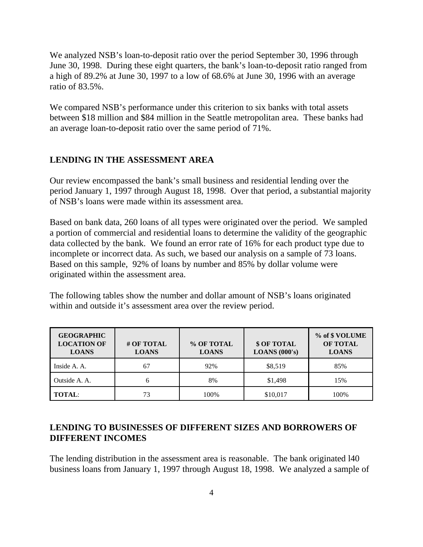We analyzed NSB's loan-to-deposit ratio over the period September 30, 1996 through June 30, 1998. During these eight quarters, the bank's loan-to-deposit ratio ranged from a high of 89.2% at June 30, 1997 to a low of 68.6% at June 30, 1996 with an average ratio of 83.5%.

We compared NSB's performance under this criterion to six banks with total assets between \$18 million and \$84 million in the Seattle metropolitan area. These banks had an average loan-to-deposit ratio over the same period of 71%.

#### **LENDING IN THE ASSESSMENT AREA**

Our review encompassed the bank's small business and residential lending over the period January 1, 1997 through August 18, 1998. Over that period, a substantial majority of NSB's loans were made within its assessment area.

Based on bank data, 260 loans of all types were originated over the period. We sampled a portion of commercial and residential loans to determine the validity of the geographic data collected by the bank. We found an error rate of 16% for each product type due to incomplete or incorrect data. As such, we based our analysis on a sample of 73 loans. Based on this sample, 92% of loans by number and 85% by dollar volume were originated within the assessment area.

The following tables show the number and dollar amount of NSB's loans originated within and outside it's assessment area over the review period.

| <b>GEOGRAPHIC</b><br><b>LOCATION OF</b><br><b>LOANS</b> | # OF TOTAL<br><b>LOANS</b> | % OF TOTAL<br><b>LOANS</b> | \$ OF TOTAL<br><b>LOANS</b> $(000's)$ | % of \$ VOLUME<br><b>OF TOTAL</b><br><b>LOANS</b> |
|---------------------------------------------------------|----------------------------|----------------------------|---------------------------------------|---------------------------------------------------|
| Inside A. A.                                            | 67                         | 92%                        | \$8,519                               | 85%                                               |
| Outside A. A.                                           | h                          | 8%                         | \$1,498                               | 15%                                               |
| <b>TOTAL:</b>                                           | 73                         | 100%                       | \$10,017                              | 100%                                              |

### **LENDING TO BUSINESSES OF DIFFERENT SIZES AND BORROWERS OF DIFFERENT INCOMES**

The lending distribution in the assessment area is reasonable. The bank originated l40 business loans from January 1, 1997 through August 18, 1998. We analyzed a sample of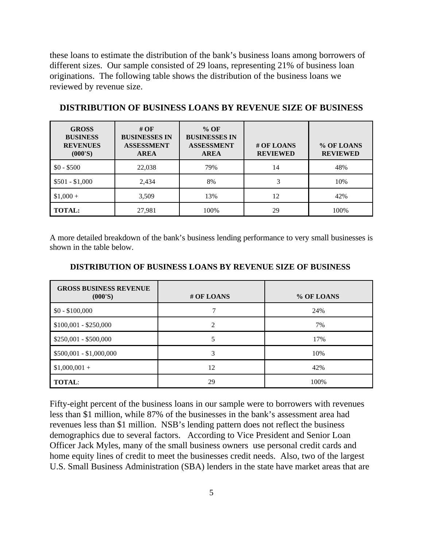these loans to estimate the distribution of the bank's business loans among borrowers of different sizes. Our sample consisted of 29 loans, representing 21% of business loan originations. The following table shows the distribution of the business loans we reviewed by revenue size.

| <b>GROSS</b><br><b>BUSINESS</b><br><b>REVENUES</b><br>(000'S) | # $OF$<br><b>BUSINESSES IN</b><br><b>ASSESSMENT</b><br><b>AREA</b> | $%$ OF<br><b>BUSINESSES IN</b><br><b>ASSESSMENT</b><br><b>AREA</b> | # OF LOANS<br><b>REVIEWED</b> | % OF LOANS<br><b>REVIEWED</b> |
|---------------------------------------------------------------|--------------------------------------------------------------------|--------------------------------------------------------------------|-------------------------------|-------------------------------|
| $$0 - $500$                                                   | 22,038                                                             | 79%                                                                | 14                            | 48%                           |
| $$501 - $1,000$                                               | 2,434                                                              | 8%                                                                 | 3                             | 10%                           |
| $$1,000+$                                                     | 3,509                                                              | 13%                                                                | 12                            | 42%                           |
| <b>TOTAL:</b>                                                 | 27,981                                                             | 100%                                                               | 29                            | 100%                          |

#### **DISTRIBUTION OF BUSINESS LOANS BY REVENUE SIZE OF BUSINESS**

A more detailed breakdown of the bank's business lending performance to very small businesses is shown in the table below.

| <b>GROSS BUSINESS REVENUE</b><br>(000'S) | # OF LOANS | % OF LOANS |
|------------------------------------------|------------|------------|
| $$0 - $100,000$                          |            | 24%        |
| $$100,001 - $250,000$                    | ◠          | 7%         |
| $$250,001 - $500,000$                    |            | 17%        |
| $$500,001 - $1,000,000$                  | 3          | 10%        |
| $$1,000,001 +$                           | 12         | 42%        |
| <b>TOTAL:</b>                            | 29         | 100%       |

#### **DISTRIBUTION OF BUSINESS LOANS BY REVENUE SIZE OF BUSINESS**

Fifty-eight percent of the business loans in our sample were to borrowers with revenues less than \$1 million, while 87% of the businesses in the bank's assessment area had revenues less than \$1 million. NSB's lending pattern does not reflect the business demographics due to several factors. According to Vice President and Senior Loan Officer Jack Myles, many of the small business owners use personal credit cards and home equity lines of credit to meet the businesses credit needs. Also, two of the largest U.S. Small Business Administration (SBA) lenders in the state have market areas that are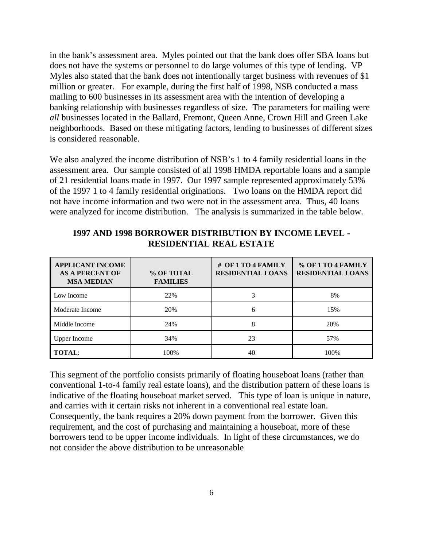in the bank's assessment area. Myles pointed out that the bank does offer SBA loans but does not have the systems or personnel to do large volumes of this type of lending. VP Myles also stated that the bank does not intentionally target business with revenues of \$1 million or greater. For example, during the first half of 1998, NSB conducted a mass mailing to 600 businesses in its assessment area with the intention of developing a banking relationship with businesses regardless of size. The parameters for mailing were *all* businesses located in the Ballard, Fremont, Queen Anne, Crown Hill and Green Lake neighborhoods. Based on these mitigating factors, lending to businesses of different sizes is considered reasonable.

We also analyzed the income distribution of NSB's 1 to 4 family residential loans in the assessment area. Our sample consisted of all 1998 HMDA reportable loans and a sample of 21 residential loans made in 1997. Our 1997 sample represented approximately 53% of the 1997 1 to 4 family residential originations. Two loans on the HMDA report did not have income information and two were not in the assessment area. Thus, 40 loans were analyzed for income distribution. The analysis is summarized in the table below.

| <b>APPLICANT INCOME</b><br><b>AS A PERCENT OF</b><br><b>MSA MEDIAN</b> | % OF TOTAL<br><b>FAMILIES</b> | # OF 1 TO 4 FAMILY<br><b>RESIDENTIAL LOANS</b> | % OF 1 TO 4 FAMILY<br><b>RESIDENTIAL LOANS</b> |
|------------------------------------------------------------------------|-------------------------------|------------------------------------------------|------------------------------------------------|
| Low Income                                                             | 22%                           |                                                | 8%                                             |
| Moderate Income                                                        | 20%                           | 6                                              | 15%                                            |
| Middle Income                                                          | 24%                           | 8                                              | 20%                                            |
| <b>Upper Income</b>                                                    | 34%                           | 23                                             | 57%                                            |
| <b>TOTAL:</b>                                                          | 100%                          | 40                                             | 100%                                           |

#### **1997 AND 1998 BORROWER DISTRIBUTION BY INCOME LEVEL - RESIDENTIAL REAL ESTATE**

This segment of the portfolio consists primarily of floating houseboat loans (rather than conventional 1-to-4 family real estate loans), and the distribution pattern of these loans is indicative of the floating houseboat market served. This type of loan is unique in nature, and carries with it certain risks not inherent in a conventional real estate loan. Consequently, the bank requires a 20% down payment from the borrower. Given this requirement, and the cost of purchasing and maintaining a houseboat, more of these borrowers tend to be upper income individuals. In light of these circumstances, we do not consider the above distribution to be unreasonable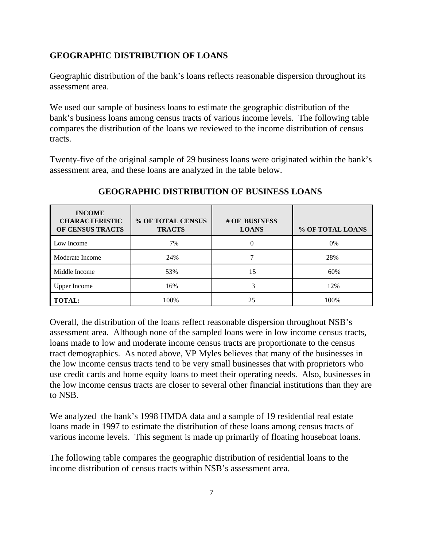# **GEOGRAPHIC DISTRIBUTION OF LOANS**

Geographic distribution of the bank's loans reflects reasonable dispersion throughout its assessment area.

We used our sample of business loans to estimate the geographic distribution of the bank's business loans among census tracts of various income levels. The following table compares the distribution of the loans we reviewed to the income distribution of census tracts.

Twenty-five of the original sample of 29 business loans were originated within the bank's assessment area, and these loans are analyzed in the table below.

| <b>INCOME</b><br><b>CHARACTERISTIC</b><br>OF CENSUS TRACTS | % OF TOTAL CENSUS<br><b>TRACTS</b> | # OF BUSINESS<br><b>LOANS</b> | % OF TOTAL LOANS |
|------------------------------------------------------------|------------------------------------|-------------------------------|------------------|
| Low Income                                                 | 7%                                 |                               | 0%               |
| Moderate Income                                            | 24%                                |                               | 28%              |
| Middle Income                                              | 53%                                | 15                            | 60%              |
| <b>Upper Income</b>                                        | 16%                                |                               | 12%              |
| <b>TOTAL:</b>                                              | 100%                               | 25                            | 100%             |

# **GEOGRAPHIC DISTRIBUTION OF BUSINESS LOANS**

Overall, the distribution of the loans reflect reasonable dispersion throughout NSB's assessment area. Although none of the sampled loans were in low income census tracts, loans made to low and moderate income census tracts are proportionate to the census tract demographics. As noted above, VP Myles believes that many of the businesses in the low income census tracts tend to be very small businesses that with proprietors who use credit cards and home equity loans to meet their operating needs. Also, businesses in the low income census tracts are closer to several other financial institutions than they are to NSB.

We analyzed the bank's 1998 HMDA data and a sample of 19 residential real estate loans made in 1997 to estimate the distribution of these loans among census tracts of various income levels. This segment is made up primarily of floating houseboat loans.

The following table compares the geographic distribution of residential loans to the income distribution of census tracts within NSB's assessment area.